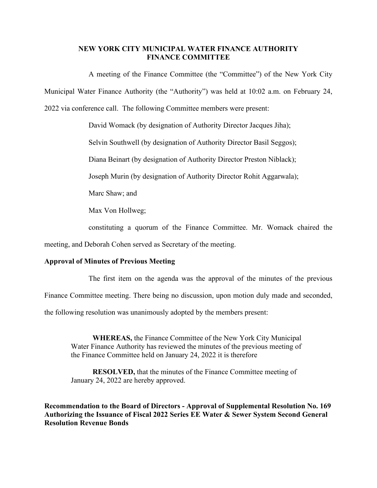## **NEW YORK CITY MUNICIPAL WATER FINANCE AUTHORITY FINANCE COMMITTEE**

A meeting of the Finance Committee (the "Committee") of the New York City Municipal Water Finance Authority (the "Authority") was held at 10:02 a.m. on February 24, 2022 via conference call. The following Committee members were present:

David Womack (by designation of Authority Director Jacques Jiha);

Selvin Southwell (by designation of Authority Director Basil Seggos);

Diana Beinart (by designation of Authority Director Preston Niblack);

Joseph Murin (by designation of Authority Director Rohit Aggarwala);

Marc Shaw; and

Max Von Hollweg;

constituting a quorum of the Finance Committee. Mr. Womack chaired the

meeting, and Deborah Cohen served as Secretary of the meeting.

## **Approval of Minutes of Previous Meeting**

The first item on the agenda was the approval of the minutes of the previous

Finance Committee meeting. There being no discussion, upon motion duly made and seconded,

the following resolution was unanimously adopted by the members present:

**WHEREAS,** the Finance Committee of the New York City Municipal Water Finance Authority has reviewed the minutes of the previous meeting of the Finance Committee held on January 24, 2022 it is therefore

**RESOLVED,** that the minutes of the Finance Committee meeting of January 24, 2022 are hereby approved.

**Recommendation to the Board of Directors - Approval of Supplemental Resolution No. 169 Authorizing the Issuance of Fiscal 2022 Series EE Water & Sewer System Second General Resolution Revenue Bonds**